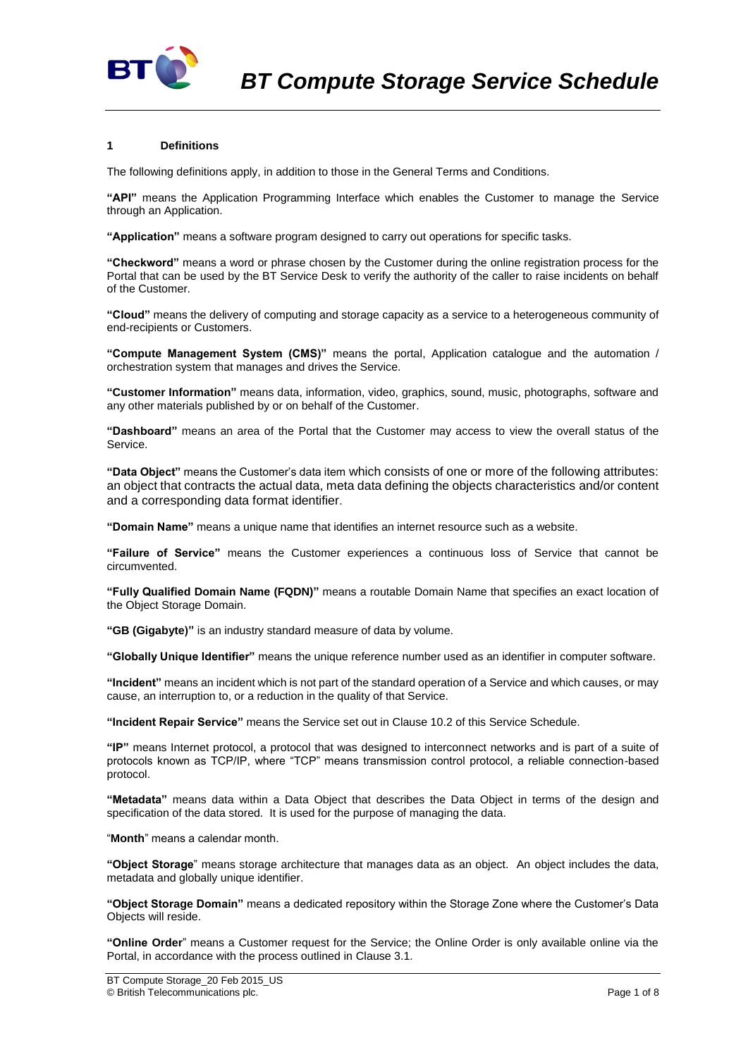

## **1 Definitions**

The following definitions apply, in addition to those in the General Terms and Conditions.

**"API"** means the Application Programming Interface which enables the Customer to manage the Service through an Application.

**"Application"** means a software program designed to carry out operations for specific tasks.

**"Checkword"** means a word or phrase chosen by the Customer during the online registration process for the Portal that can be used by the BT Service Desk to verify the authority of the caller to raise incidents on behalf of the Customer.

**"Cloud"** means the delivery of computing and storage capacity as a service to a heterogeneous community of end-recipients or Customers.

**"Compute Management System (CMS)"** means the portal, Application catalogue and the automation / orchestration system that manages and drives the Service.

**"Customer Information"** means data, information, video, graphics, sound, music, photographs, software and any other materials published by or on behalf of the Customer.

**"Dashboard"** means an area of the Portal that the Customer may access to view the overall status of the Service.

**"Data Object"** means the Customer's data item which consists of one or more of the following attributes: an object that contracts the actual data, meta data defining the objects characteristics and/or content and a corresponding data format identifier.

**"Domain Name"** means a unique name that identifies an internet resource such as a website.

**"Failure of Service"** means the Customer experiences a continuous loss of Service that cannot be circumvented.

**"Fully Qualified Domain Name (FQDN)"** means a routable Domain Name that specifies an exact location of the Object Storage Domain.

**"GB (Gigabyte)"** is an industry standard measure of data by volume.

**"Globally Unique Identifier"** means the unique reference number used as an identifier in computer software.

**"Incident"** means an incident which is not part of the standard operation of a Service and which causes, or may cause, an interruption to, or a reduction in the quality of that Service.

**"Incident Repair Service"** means the Service set out in Clause [10.2](#page-3-0) of this Service Schedule.

**"IP"** means Internet protocol, a protocol that was designed to interconnect networks and is part of a suite of protocols known as TCP/IP, where "TCP" means transmission control protocol, a reliable connection-based protocol.

**"Metadata"** means data within a Data Object that describes the Data Object in terms of the design and specification of the data stored. It is used for the purpose of managing the data.

"**Month**" means a calendar month.

**"Object Storage**" means storage architecture that manages data as an object. An object includes the data, metadata and globally unique identifier.

**"Object Storage Domain"** means a dedicated repository within the Storage Zone where the Customer's Data Objects will reside.

**"Online Order**" means a Customer request for the Service; the Online Order is only available online via the Portal, in accordance with the process outlined in Claus[e 3.1.](#page-1-0)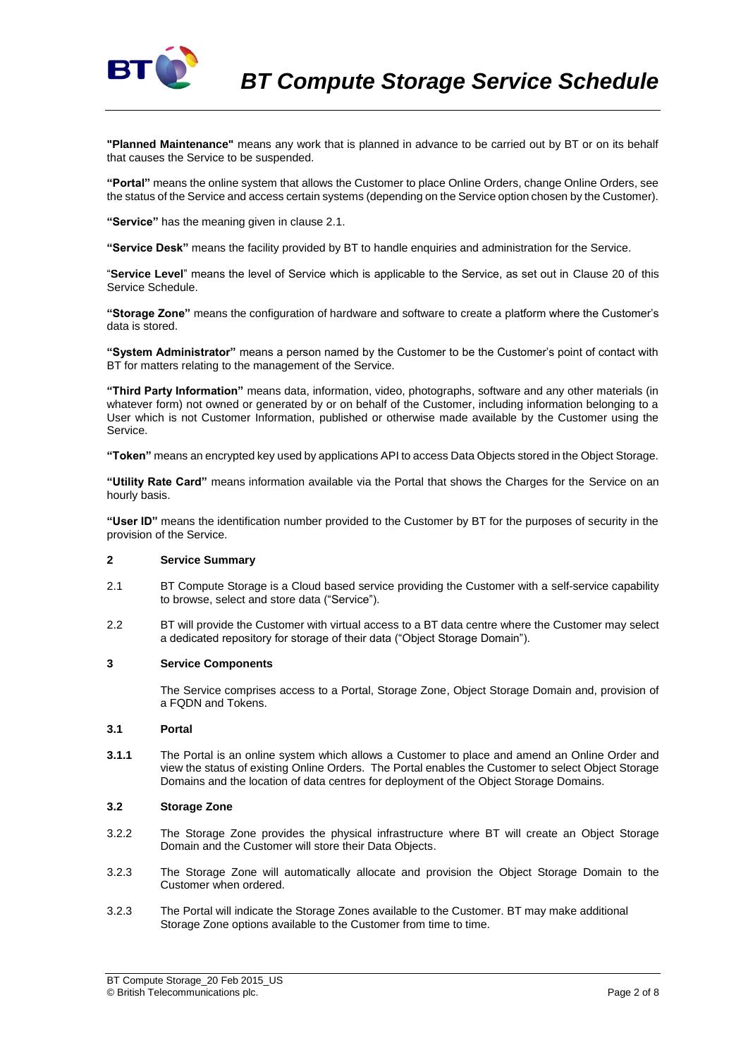

**"Planned Maintenance"** means any work that is planned in advance to be carried out by BT or on its behalf that causes the Service to be suspended.

**"Portal"** means the online system that allows the Customer to place Online Orders, change Online Orders, see the status of the Service and access certain systems (depending on the Service option chosen by the Customer).

**"Service"** has the meaning given in clause 2.1.

**"Service Desk"** means the facility provided by BT to handle enquiries and administration for the Service.

"**Service Level**" means the level of Service which is applicable to the Service, as set out in Clause 20 of this Service Schedule.

**"Storage Zone"** means the configuration of hardware and software to create a platform where the Customer's data is stored.

**"System Administrator"** means a person named by the Customer to be the Customer's point of contact with BT for matters relating to the management of the Service.

**"Third Party Information"** means data, information, video, photographs, software and any other materials (in whatever form) not owned or generated by or on behalf of the Customer, including information belonging to a User which is not Customer Information, published or otherwise made available by the Customer using the Service.

**"Token"** means an encrypted key used by applications API to access Data Objects stored in the Object Storage.

**"Utility Rate Card"** means information available via the Portal that shows the Charges for the Service on an hourly basis.

**"User ID"** means the identification number provided to the Customer by BT for the purposes of security in the provision of the Service.

# **2 Service Summary**

- 2.1 BT Compute Storage is a Cloud based service providing the Customer with a self-service capability to browse, select and store data ("Service").
- 2.2 BT will provide the Customer with virtual access to a BT data centre where the Customer may select a dedicated repository for storage of their data ("Object Storage Domain").

#### **3 Service Components**

The Service comprises access to a Portal, Storage Zone, Object Storage Domain and, provision of a FQDN and Tokens.

### <span id="page-1-0"></span>**3.1 Portal**

**3.1.1** The Portal is an online system which allows a Customer to place and amend an Online Order and view the status of existing Online Orders. The Portal enables the Customer to select Object Storage Domains and the location of data centres for deployment of the Object Storage Domains.

### **3.2 Storage Zone**

- 3.2.2 The Storage Zone provides the physical infrastructure where BT will create an Object Storage Domain and the Customer will store their Data Objects.
- 3.2.3 The Storage Zone will automatically allocate and provision the Object Storage Domain to the Customer when ordered.
- 3.2.3 The Portal will indicate the Storage Zones available to the Customer. BT may make additional Storage Zone options available to the Customer from time to time.

BT Compute Storage\_20 Feb 2015\_US © British Telecommunications plc. Page 2 of 8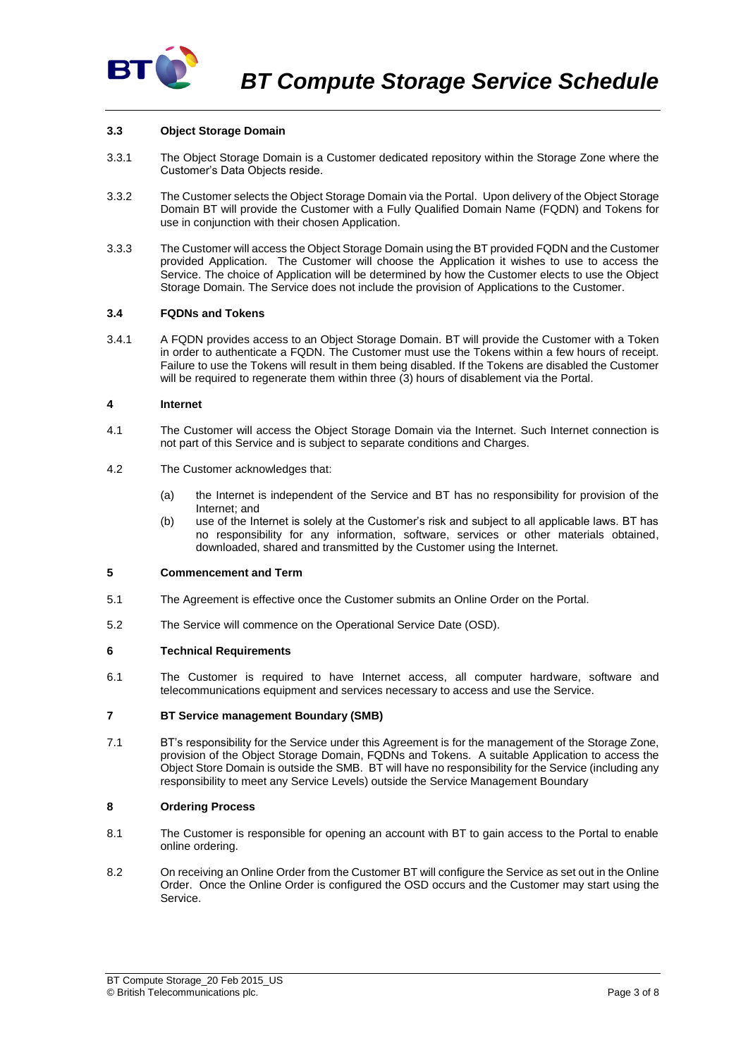

# **3.3 Object Storage Domain**

- 3.3.1 The Object Storage Domain is a Customer dedicated repository within the Storage Zone where the Customer's Data Objects reside.
- 3.3.2 The Customer selects the Object Storage Domain via the Portal. Upon delivery of the Object Storage Domain BT will provide the Customer with a Fully Qualified Domain Name (FQDN) and Tokens for use in conjunction with their chosen Application.
- 3.3.3 The Customer will access the Object Storage Domain using the BT provided FQDN and the Customer provided Application. The Customer will choose the Application it wishes to use to access the Service. The choice of Application will be determined by how the Customer elects to use the Object Storage Domain. The Service does not include the provision of Applications to the Customer.

### **3.4 FQDNs and Tokens**

3.4.1 A FQDN provides access to an Object Storage Domain. BT will provide the Customer with a Token in order to authenticate a FQDN. The Customer must use the Tokens within a few hours of receipt. Failure to use the Tokens will result in them being disabled. If the Tokens are disabled the Customer will be required to regenerate them within three (3) hours of disablement via the Portal.

### **4 Internet**

- 4.1 The Customer will access the Object Storage Domain via the Internet. Such Internet connection is not part of this Service and is subject to separate conditions and Charges.
- 4.2 The Customer acknowledges that:
	- (a) the Internet is independent of the Service and BT has no responsibility for provision of the Internet; and
	- (b) use of the Internet is solely at the Customer's risk and subject to all applicable laws. BT has no responsibility for any information, software, services or other materials obtained, downloaded, shared and transmitted by the Customer using the Internet.

## **5 Commencement and Term**

- 5.1 The Agreement is effective once the Customer submits an Online Order on the Portal.
- 5.2 The Service will commence on the Operational Service Date (OSD).

### **6 Technical Requirements**

6.1 The Customer is required to have Internet access, all computer hardware, software and telecommunications equipment and services necessary to access and use the Service.

### **7 BT Service management Boundary (SMB)**

7.1 BT's responsibility for the Service under this Agreement is for the management of the Storage Zone, provision of the Object Storage Domain, FQDNs and Tokens. A suitable Application to access the Object Store Domain is outside the SMB. BT will have no responsibility for the Service (including any responsibility to meet any Service Levels) outside the Service Management Boundary

### **8 Ordering Process**

- 8.1 The Customer is responsible for opening an account with BT to gain access to the Portal to enable online ordering.
- 8.2 On receiving an Online Order from the Customer BT will configure the Service as set out in the Online Order. Once the Online Order is configured the OSD occurs and the Customer may start using the Service.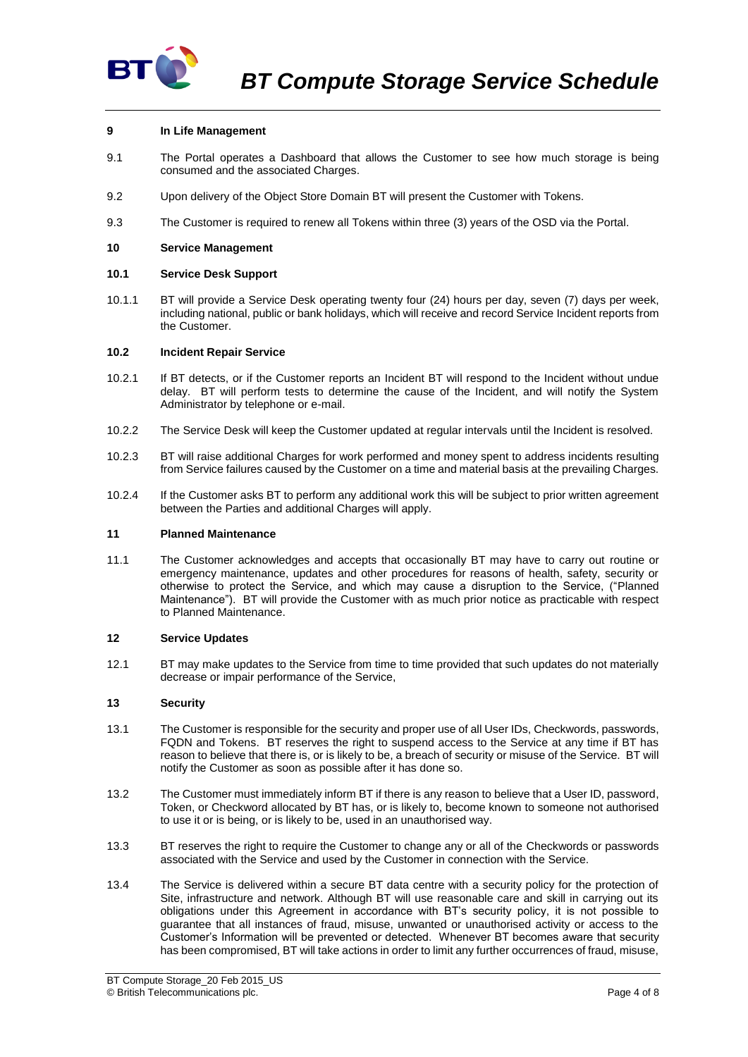

## **9 In Life Management**

- 9.1 The Portal operates a Dashboard that allows the Customer to see how much storage is being consumed and the associated Charges.
- 9.2 Upon delivery of the Object Store Domain BT will present the Customer with Tokens.
- 9.3 The Customer is required to renew all Tokens within three (3) years of the OSD via the Portal.

### **10 Service Management**

### **10.1 Service Desk Support**

10.1.1 BT will provide a Service Desk operating twenty four (24) hours per day, seven (7) days per week, including national, public or bank holidays, which will receive and record Service Incident reports from the Customer.

### <span id="page-3-0"></span>**10.2 Incident Repair Service**

- 10.2.1 If BT detects, or if the Customer reports an Incident BT will respond to the Incident without undue delay. BT will perform tests to determine the cause of the Incident, and will notify the System Administrator by telephone or e-mail.
- 10.2.2 The Service Desk will keep the Customer updated at regular intervals until the Incident is resolved.
- 10.2.3 BT will raise additional Charges for work performed and money spent to address incidents resulting from Service failures caused by the Customer on a time and material basis at the prevailing Charges.
- 10.2.4 If the Customer asks BT to perform any additional work this will be subject to prior written agreement between the Parties and additional Charges will apply.

### **11 Planned Maintenance**

11.1 The Customer acknowledges and accepts that occasionally BT may have to carry out routine or emergency maintenance, updates and other procedures for reasons of health, safety, security or otherwise to protect the Service, and which may cause a disruption to the Service, ("Planned Maintenance"). BT will provide the Customer with as much prior notice as practicable with respect to Planned Maintenance.

### **12 Service Updates**

12.1 BT may make updates to the Service from time to time provided that such updates do not materially decrease or impair performance of the Service,

### **13 Security**

- 13.1 The Customer is responsible for the security and proper use of all User IDs, Checkwords, passwords, FQDN and Tokens. BT reserves the right to suspend access to the Service at any time if BT has reason to believe that there is, or is likely to be, a breach of security or misuse of the Service. BT will notify the Customer as soon as possible after it has done so.
- 13.2 The Customer must immediately inform BT if there is any reason to believe that a User ID, password, Token, or Checkword allocated by BT has, or is likely to, become known to someone not authorised to use it or is being, or is likely to be, used in an unauthorised way.
- 13.3 BT reserves the right to require the Customer to change any or all of the Checkwords or passwords associated with the Service and used by the Customer in connection with the Service.
- 13.4 The Service is delivered within a secure BT data centre with a security policy for the protection of Site, infrastructure and network. Although BT will use reasonable care and skill in carrying out its obligations under this Agreement in accordance with BT's security policy, it is not possible to guarantee that all instances of fraud, misuse, unwanted or unauthorised activity or access to the Customer's Information will be prevented or detected. Whenever BT becomes aware that security has been compromised, BT will take actions in order to limit any further occurrences of fraud, misuse,

BT Compute Storage\_20 Feb 2015\_US © British Telecommunications plc. Page 4 of 8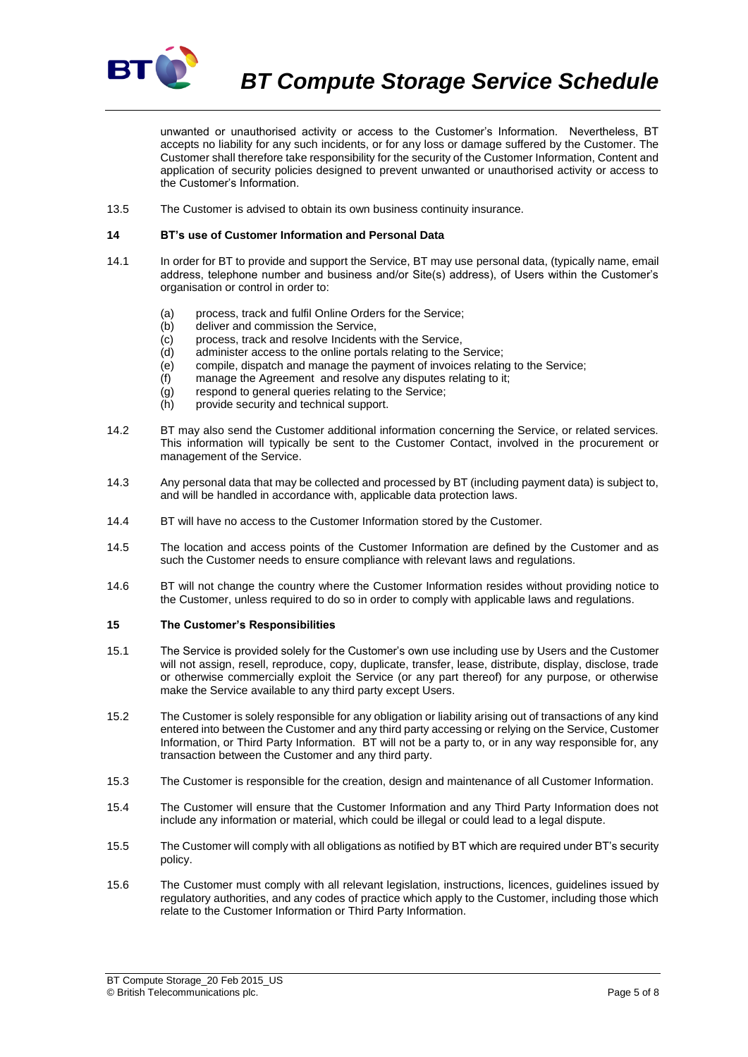

*BT Compute Storage Service Schedule*

unwanted or unauthorised activity or access to the Customer's Information. Nevertheless, BT accepts no liability for any such incidents, or for any loss or damage suffered by the Customer. The Customer shall therefore take responsibility for the security of the Customer Information, Content and application of security policies designed to prevent unwanted or unauthorised activity or access to the Customer's Information.

13.5 The Customer is advised to obtain its own business continuity insurance.

#### **14 BT's use of Customer Information and Personal Data**

- 14.1 In order for BT to provide and support the Service, BT may use personal data, (typically name, email address, telephone number and business and/or Site(s) address), of Users within the Customer's organisation or control in order to:
	- (a) process, track and fulfil Online Orders for the Service;
	- (b) deliver and commission the Service,
	- (c) process, track and resolve Incidents with the Service,
	- (d) administer access to the online portals relating to the Service;
	- (e) compile, dispatch and manage the payment of invoices relating to the Service;
	- (f) manage the Agreement and resolve any disputes relating to it;
	- (g) respond to general queries relating to the Service;
	- (h) provide security and technical support.
- 14.2 BT may also send the Customer additional information concerning the Service, or related services. This information will typically be sent to the Customer Contact, involved in the procurement or management of the Service.
- 14.3 Any personal data that may be collected and processed by BT (including payment data) is subject to, and will be handled in accordance with, applicable data protection laws.
- 14.4 BT will have no access to the Customer Information stored by the Customer.
- 14.5 The location and access points of the Customer Information are defined by the Customer and as such the Customer needs to ensure compliance with relevant laws and regulations.
- 14.6 BT will not change the country where the Customer Information resides without providing notice to the Customer, unless required to do so in order to comply with applicable laws and regulations.

### <span id="page-4-0"></span>**15 The Customer's Responsibilities**

- 15.1 The Service is provided solely for the Customer's own use including use by Users and the Customer will not assign, resell, reproduce, copy, duplicate, transfer, lease, distribute, display, disclose, trade or otherwise commercially exploit the Service (or any part thereof) for any purpose, or otherwise make the Service available to any third party except Users.
- 15.2 The Customer is solely responsible for any obligation or liability arising out of transactions of any kind entered into between the Customer and any third party accessing or relying on the Service, Customer Information, or Third Party Information. BT will not be a party to, or in any way responsible for, any transaction between the Customer and any third party.
- 15.3 The Customer is responsible for the creation, design and maintenance of all Customer Information.
- 15.4 The Customer will ensure that the Customer Information and any Third Party Information does not include any information or material, which could be illegal or could lead to a legal dispute.
- 15.5 The Customer will comply with all obligations as notified by BT which are required under BT's security policy.
- 15.6 The Customer must comply with all relevant legislation, instructions, licences, guidelines issued by regulatory authorities, and any codes of practice which apply to the Customer, including those which relate to the Customer Information or Third Party Information.

BT Compute Storage\_20 Feb 2015\_US © British Telecommunications plc. Page 5 of 8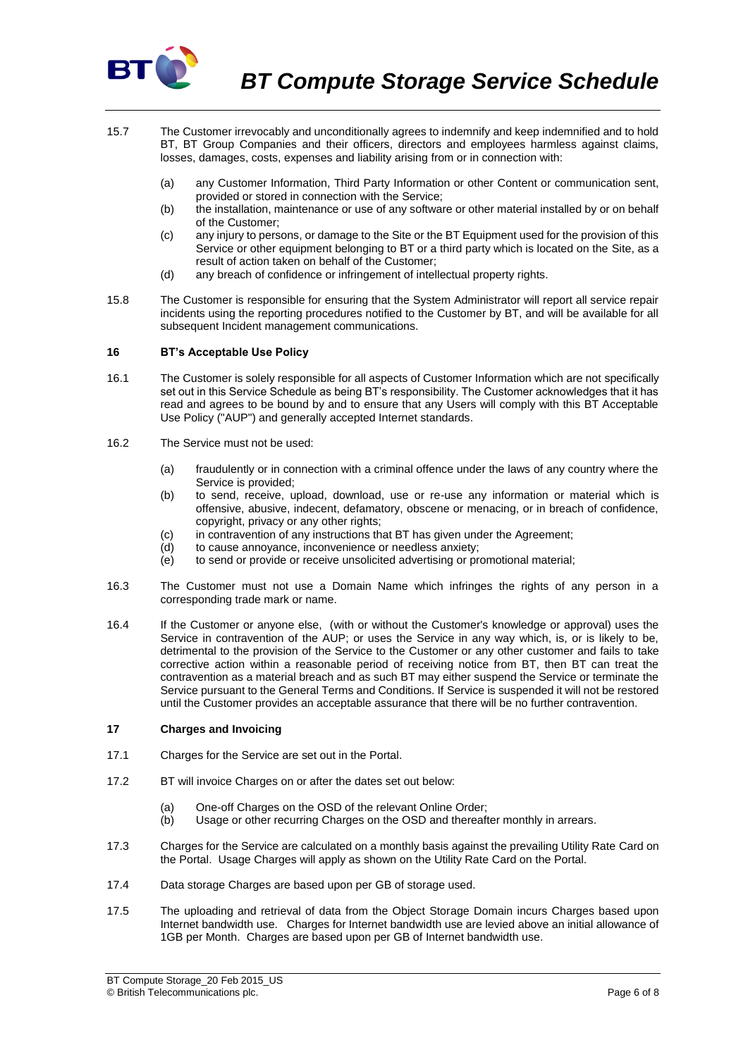

- 15.7 The Customer irrevocably and unconditionally agrees to indemnify and keep indemnified and to hold BT, BT Group Companies and their officers, directors and employees harmless against claims, losses, damages, costs, expenses and liability arising from or in connection with:
	- (a) any Customer Information, Third Party Information or other Content or communication sent, provided or stored in connection with the Service;
	- (b) the installation, maintenance or use of any software or other material installed by or on behalf of the Customer;
	- (c) any injury to persons, or damage to the Site or the BT Equipment used for the provision of this Service or other equipment belonging to BT or a third party which is located on the Site, as a result of action taken on behalf of the Customer;
	- (d) any breach of confidence or infringement of intellectual property rights.
- 15.8 The Customer is responsible for ensuring that the System Administrator will report all service repair incidents using the reporting procedures notified to the Customer by BT, and will be available for all subsequent Incident management communications.

## **16 BT's Acceptable Use Policy**

- 16.1 The Customer is solely responsible for all aspects of Customer Information which are not specifically set out in this Service Schedule as being BT's responsibility. The Customer acknowledges that it has read and agrees to be bound by and to ensure that any Users will comply with this BT Acceptable Use Policy ("AUP") and generally accepted Internet standards.
- 16.2 The Service must not be used:
	- (a) fraudulently or in connection with a criminal offence under the laws of any country where the Service is provided;
	- (b) to send, receive, upload, download, use or re-use any information or material which is offensive, abusive, indecent, defamatory, obscene or menacing, or in breach of confidence, copyright, privacy or any other rights;
	- (c) in contravention of any instructions that BT has given under the Agreement;
	- (d) to cause annoyance, inconvenience or needless anxiety;
	- (e) to send or provide or receive unsolicited advertising or promotional material;
- 16.3 The Customer must not use a Domain Name which infringes the rights of any person in a corresponding trade mark or name.
- 16.4 If the Customer or anyone else, (with or without the Customer's knowledge or approval) uses the Service in contravention of the AUP; or uses the Service in any way which, is, or is likely to be, detrimental to the provision of the Service to the Customer or any other customer and fails to take corrective action within a reasonable period of receiving notice from BT, then BT can treat the contravention as a material breach and as such BT may either suspend the Service or terminate the Service pursuant to the General Terms and Conditions. If Service is suspended it will not be restored until the Customer provides an acceptable assurance that there will be no further contravention.

### **17 Charges and Invoicing**

- 17.1 Charges for the Service are set out in the Portal.
- 17.2 BT will invoice Charges on or after the dates set out below:
	- (a) One-off Charges on the OSD of the relevant Online Order:
	- (b) Usage or other recurring Charges on the OSD and thereafter monthly in arrears.
- 17.3 Charges for the Service are calculated on a monthly basis against the prevailing Utility Rate Card on the Portal. Usage Charges will apply as shown on the Utility Rate Card on the Portal.
- 17.4 Data storage Charges are based upon per GB of storage used.
- 17.5 The uploading and retrieval of data from the Object Storage Domain incurs Charges based upon Internet bandwidth use. Charges for Internet bandwidth use are levied above an initial allowance of 1GB per Month. Charges are based upon per GB of Internet bandwidth use.

BT Compute Storage\_20 Feb 2015\_US © British Telecommunications plc. Page 6 of 8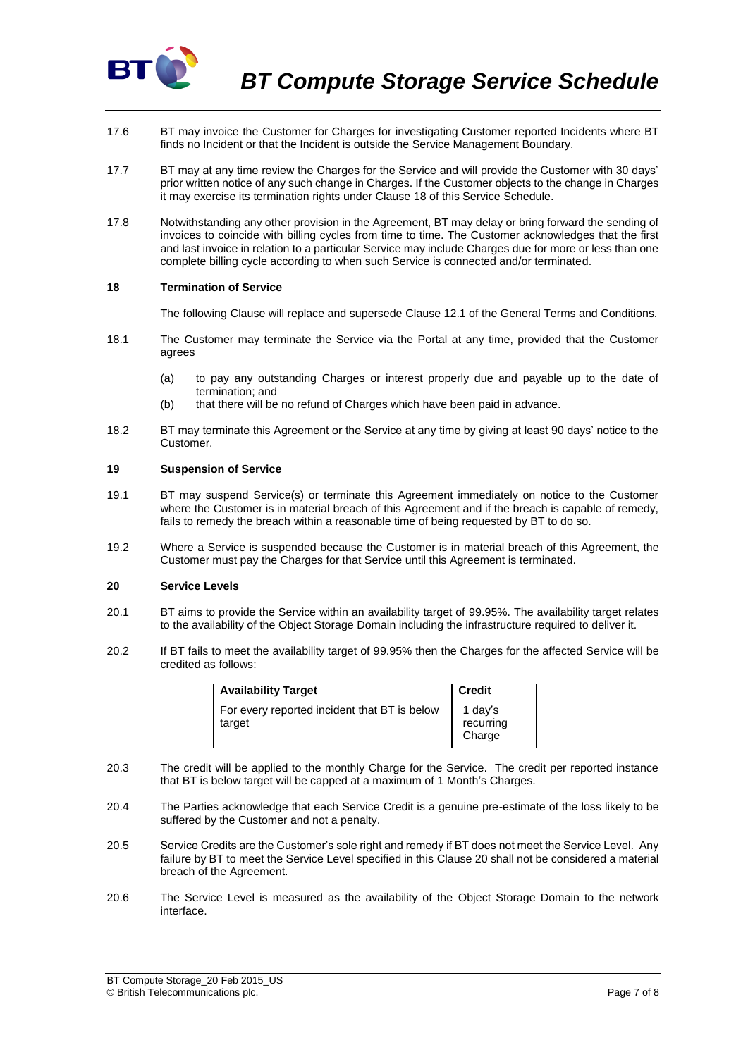

- 17.6 BT may invoice the Customer for Charges for investigating Customer reported Incidents where BT finds no Incident or that the Incident is outside the Service Management Boundary.
- 17.7 BT may at any time review the Charges for the Service and will provide the Customer with 30 days' prior written notice of any such change in Charges. If the Customer objects to the change in Charges it may exercise its termination rights under Clause 18 of this Service Schedule.
- 17.8 Notwithstanding any other provision in the Agreement, BT may delay or bring forward the sending of invoices to coincide with billing cycles from time to time. The Customer acknowledges that the first and last invoice in relation to a particular Service may include Charges due for more or less than one complete billing cycle according to when such Service is connected and/or terminated.

### **18 Termination of Service**

The following Clause will replace and supersede Clause 12.1 of the General Terms and Conditions.

- 18.1 The Customer may terminate the Service via the Portal at any time, provided that the Customer agrees
	- (a) to pay any outstanding Charges or interest properly due and payable up to the date of termination; and
	- (b) that there will be no refund of Charges which have been paid in advance.
- 18.2 BT may terminate this Agreement or the Service at any time by giving at least 90 days' notice to the Customer.

#### **19 Suspension of Service**

- 19.1 BT may suspend Service(s) or terminate this Agreement immediately on notice to the Customer where the Customer is in material breach of this Agreement and if the breach is capable of remedy, fails to remedy the breach within a reasonable time of being requested by BT to do so.
- 19.2 Where a Service is suspended because the Customer is in material breach of this Agreement, the Customer must pay the Charges for that Service until this Agreement is terminated.

# <span id="page-6-0"></span>**20 Service Levels**

- 20.1 BT aims to provide the Service within an availability target of 99.95%. The availability target relates to the availability of the Object Storage Domain including the infrastructure required to deliver it.
- 20.2 If BT fails to meet the availability target of 99.95% then the Charges for the affected Service will be credited as follows:

| <b>Availability Target</b>                             | <b>Credit</b>                  |
|--------------------------------------------------------|--------------------------------|
| For every reported incident that BT is below<br>target | 1 day's<br>recurring<br>Charge |

- 20.3 The credit will be applied to the monthly Charge for the Service. The credit per reported instance that BT is below target will be capped at a maximum of 1 Month's Charges.
- 20.4 The Parties acknowledge that each Service Credit is a genuine pre-estimate of the loss likely to be suffered by the Customer and not a penalty.
- 20.5 Service Credits are the Customer's sole right and remedy if BT does not meet the Service Level. Any failure by BT to meet the Service Level specified in this Clause [20](#page-6-0) shall not be considered a material breach of the Agreement.
- 20.6 The Service Level is measured as the availability of the Object Storage Domain to the network interface.

BT Compute Storage\_20 Feb 2015\_US © British Telecommunications plc. Page 7 of 8